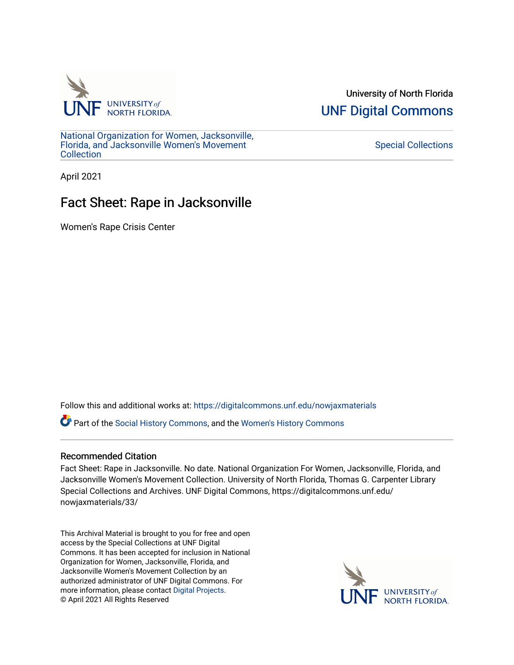

University of North Florida [UNF Digital Commons](https://digitalcommons.unf.edu/) 

[National Organization for Women, Jacksonville,](https://digitalcommons.unf.edu/nowjaxmaterials) [Florida, and Jacksonville Women's Movement](https://digitalcommons.unf.edu/nowjaxmaterials) [Collection](https://digitalcommons.unf.edu/nowjaxmaterials) 

[Special Collections](https://digitalcommons.unf.edu/special_collections) 

April 2021

## Fact Sheet: Rape in Jacksonville

Women's Rape Crisis Center

Follow this and additional works at: [https://digitalcommons.unf.edu/nowjaxmaterials](https://digitalcommons.unf.edu/nowjaxmaterials?utm_source=digitalcommons.unf.edu%2Fnowjaxmaterials%2F33&utm_medium=PDF&utm_campaign=PDFCoverPages) 

Part of the [Social History Commons](http://network.bepress.com/hgg/discipline/506?utm_source=digitalcommons.unf.edu%2Fnowjaxmaterials%2F33&utm_medium=PDF&utm_campaign=PDFCoverPages), and the [Women's History Commons](http://network.bepress.com/hgg/discipline/507?utm_source=digitalcommons.unf.edu%2Fnowjaxmaterials%2F33&utm_medium=PDF&utm_campaign=PDFCoverPages)

## Recommended Citation

Fact Sheet: Rape in Jacksonville. No date. National Organization For Women, Jacksonville, Florida, and Jacksonville Women's Movement Collection. University of North Florida, Thomas G. Carpenter Library Special Collections and Archives. UNF Digital Commons, https://digitalcommons.unf.edu/ nowjaxmaterials/33/

This Archival Material is brought to you for free and open access by the Special Collections at UNF Digital Commons. It has been accepted for inclusion in National Organization for Women, Jacksonville, Florida, and Jacksonville Women's Movement Collection by an authorized administrator of UNF Digital Commons. For more information, please contact [Digital Projects](mailto:lib-digital@unf.edu). © April 2021 All Rights Reserved